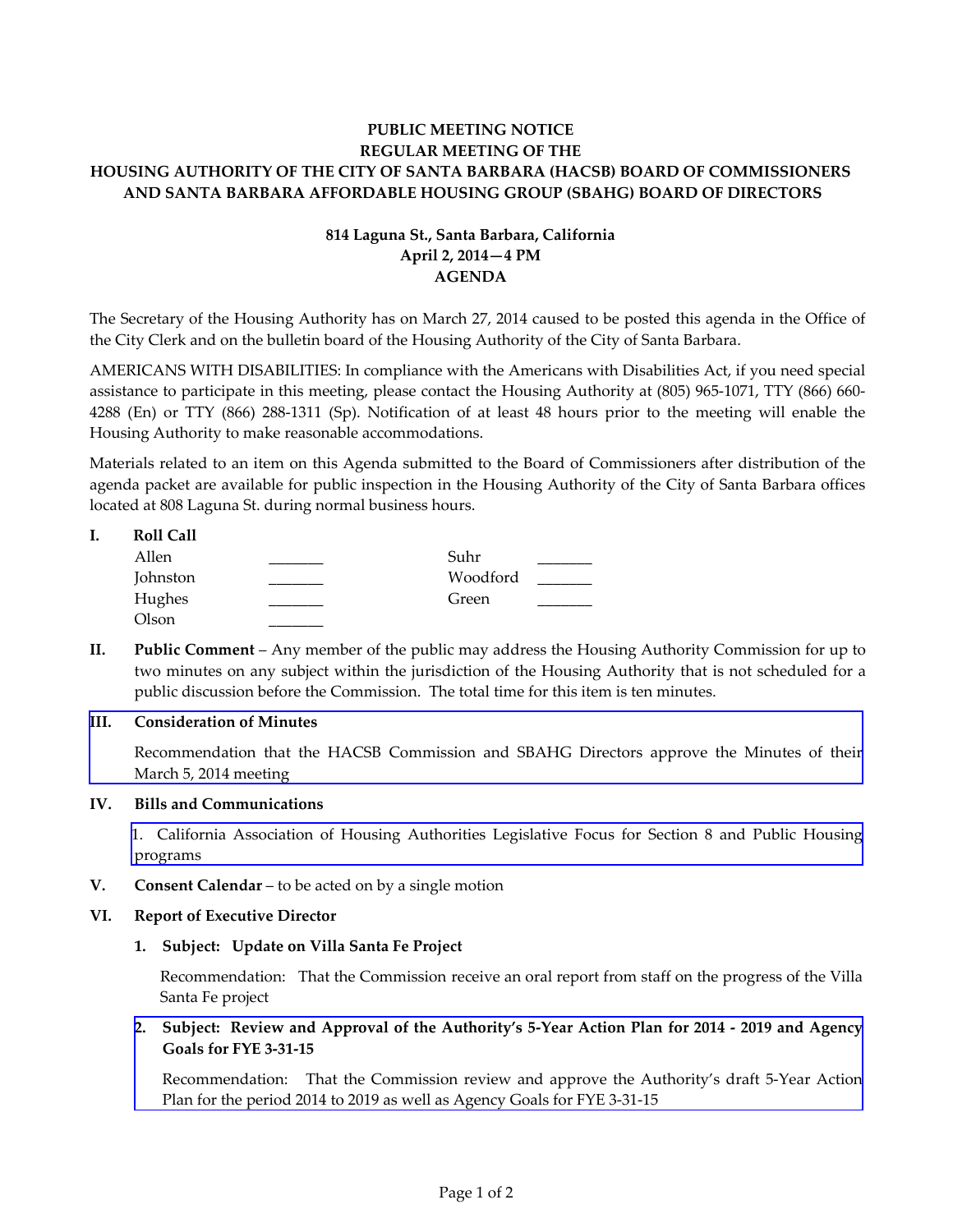# **PUBLIC MEETING NOTICE REGULAR MEETING OF THE HOUSING AUTHORITY OF THE CITY OF SANTA BARBARA (HACSB) BOARD OF COMMISSIONERS AND SANTA BARBARA AFFORDABLE HOUSING GROUP (SBAHG) BOARD OF DIRECTORS**

# **814 Laguna St., Santa Barbara, California April 2, 2014—4 PM AGENDA**

The Secretary of the Housing Authority has on March 27, 2014 caused to be posted this agenda in the Office of the City Clerk and on the bulletin board of the Housing Authority of the City of Santa Barbara.

AMERICANS WITH DISABILITIES: In compliance with the Americans with Disabilities Act, if you need special assistance to participate in this meeting, please contact the Housing Authority at (805) 965-1071, TTY (866) 660- 4288 (En) or TTY (866) 288-1311 (Sp). Notification of at least 48 hours prior to the meeting will enable the Housing Authority to make reasonable accommodations.

Materials related to an item on this Agenda submitted to the Board of Commissioners after distribution of the agenda packet are available for public inspection in the Housing Authority of the City of Santa Barbara offices located at 808 Laguna St. during normal business hours.

| <b>Roll Call</b> |          |  |
|------------------|----------|--|
| Allen            | Suhr     |  |
| Johnston         | Woodford |  |
| Hughes           | Green    |  |
| Olson            |          |  |

**II. Public Comment** – Any member of the public may address the Housing Authority Commission for up to two minutes on any subject within the jurisdiction of the Housing Authority that is not scheduled for a public discussion before the Commission. The total time for this item is ten minutes.

## **III. Consideration of Minutes**

[Recommendation that the HACSB Commission and SBAHG Directors approve the Minutes of their](http://www.hacsb.org/Library/agendas_minutes/2014/agenda_packet/Agenda_Packet_2014_04_02/item_III_I_2014_04_02.pdf) March 5, 2014 meeting

## **IV. Bills and Communications**

[1. California Association of Housing Authorities Legislative Focus for Section 8 and Public Housing](http://www.hacsb.org/Library/agendas_minutes/2014/agenda_packet/Agenda_Packet_2014_04_02/item_IV_I_2014_04_02.PDF) programs

**V. Consent Calendar** – to be acted on by a single motion

## **VI. Report of Executive Director**

## **1. Subject: Update on Villa Santa Fe Project**

Recommendation: That the Commission receive an oral report from staff on the progress of the Villa Santa Fe project

**2. [Subject: Review and Approval of the Authority's 5-Year Action Plan for 2014 - 2019 and Agency](http://www.hacsb.org/Library/agendas_minutes/2014/agenda_packet/Agenda_Packet_2014_04_02/item_VI_II_2014_04_02.pdf) Goals for FYE 3-31-15** 

Recommendation: That the Commission review and approve the Authority's draft 5-Year Action Plan for the period 2014 to 2019 as well as Agency Goals for FYE 3-31-15